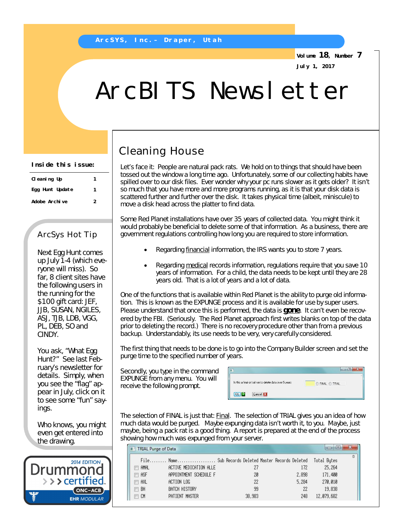**Volume 18, Number 7 July 1, 2017**

# ArcBITS Newsletter

#### **Inside this issue:**

| CI eaning Up    | 1 |
|-----------------|---|
| Egg Hunt Update |   |
| Adobe Archive   | 2 |

### ArcSys Hot Tip

Next Egg Hunt comes up July 1-4 (which everyone will miss). So far, 8 client sites have the following users in the running for the \$100 gift card: JEF, JJB, SUSAN, NGILES, ASJ, TJB, LDB, VGG, PL, DEB, SO and CINDY.

You ask, "What Egg Hunt?" See last February's newsletter for details. Simply, when you see the "flag" appear in July, click on it to see some "fun" sayings.

Who knows, you might even get entered into the drawing.



## Cleaning House

Let's face it: People are natural pack rats. We hold on to things that should have been tossed out the window a long time ago. Unfortunately, some of our collecting habits have spilled over to our disk files. Ever wonder why your pc runs slower as it gets older? It isn't so much that you have more and more programs running, as it is that your disk data is scattered further and further over the disk. It takes physical time (albeit, miniscule) to move a disk head across the platter to find data.

Some Red Planet installations have over 35 years of collected data. You might think it would probably be beneficial to delete some of that information. As a business, there are government regulations controlling how long you are required to store information.

- Regarding financial information, the IRS wants you to store 7 years.
- Regarding medical records information, regulations require that you save 10 years of information. For a child, the data needs to be kept until they are 28 years old. That is a lot of years and a lot of data.

One of the functions that is available within Red Planet is the ability to purge old information. This is known as the EXPUNGE process and it is available for use by super users. Please understand that once this is performed, the data is *gone*. It can't even be recovered by the FBI. (Seriously. The Red Planet approach first writes blanks on top of the data prior to deleting the record.) There is no recovery procedure other than from a previous backup. Understandably, its use needs to be very, very carefully considered.

The first thing that needs to be done is to go into the Company Builder screen and set the purge time to the specified number of years.

Secondly, you type in the command EXPUNGE from any menu. You will receive the following prompt.

|                                                          | e           |
|----------------------------------------------------------|-------------|
| Is this a final or trail run to delete data over 5 years | FINAL TRIAL |
| OK<br><b>x</b><br>Cancel                                 |             |

The selection of FINAL is just that: *Final*. The selection of TRIAL gives you an idea of how much data would be purged. Maybe expunging data isn't worth it, to you. Maybe, just maybe, being a pack rat is a good thing. A report is prepared at the end of the process showing how much was expunged from your server.

|            |                        | File Name Sub Records Deleted Master Records Deleted |       | Total Butes |
|------------|------------------------|------------------------------------------------------|-------|-------------|
| AMAL<br>Г  | ACTIVE MEDICATION ALLE |                                                      | 172   | 25.264      |
| ASF<br>F   | APPOINTMENT SCHEDULE F | 20                                                   | 2,898 | 171.400     |
| $\Box$ AXL | ACTION LOG             | 22                                                   | 5.284 | 270,010     |
| -BH<br>F   | BATCH HISTORY          | 99                                                   | 22    | 19.838      |
| $\Box$ CM  | PATIENT MASTER         | 38,983                                               | 248   | 12,079,682  |